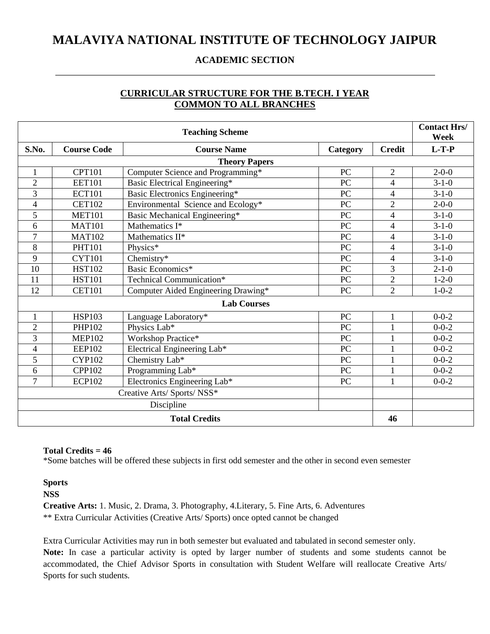### **MALAVIYA NATIONAL INSTITUTE OF TECHNOLOGY JAIPUR**

### **ACADEMIC SECTION**

### **CURRICULAR STRUCTURE FOR THE B.TECH. I YEAR COMMON TO ALL BRANCHES**

| <b>Teaching Scheme</b>      |                    |                                     |                  | <b>Contact Hrs/</b><br>Week |             |
|-----------------------------|--------------------|-------------------------------------|------------------|-----------------------------|-------------|
| S.No.                       | <b>Course Code</b> | <b>Course Name</b>                  | Category         | <b>Credit</b>               | $L-T-P$     |
|                             |                    | <b>Theory Papers</b>                |                  |                             |             |
| 1                           | <b>CPT101</b>      | Computer Science and Programming*   | PC               | $\overline{2}$              | $2 - 0 - 0$ |
| $\overline{2}$              | <b>EET101</b>      | Basic Electrical Engineering*       | PC               | $\overline{4}$              | $3-1-0$     |
| 3                           | <b>ECT101</b>      | Basic Electronics Engineering*      | ${\rm P}{\bf C}$ | $\overline{4}$              | $3-1-0$     |
| 4                           | <b>CET102</b>      | Environmental Science and Ecology*  | PC               | $\overline{2}$              | $2 - 0 - 0$ |
| 5                           | <b>MET101</b>      | Basic Mechanical Engineering*       | PC               | $\overline{4}$              | $3-1-0$     |
| 6                           | <b>MAT101</b>      | Mathematics I*                      | $\overline{PC}$  | 4                           | $3-1-0$     |
| $\overline{7}$              | <b>MAT102</b>      | Mathematics II*                     | PC               | $\overline{4}$              | $3 - 1 - 0$ |
| 8                           | <b>PHT101</b>      | Physics*                            | PC               | $\overline{4}$              | $3-1-0$     |
| 9                           | <b>CYT101</b>      | Chemistry*                          | PC               | $\overline{4}$              | $3-1-0$     |
| 10                          | <b>HST102</b>      | Basic Economics*                    | PC               | 3                           | $2 - 1 - 0$ |
| 11                          | <b>HST101</b>      | Technical Communication*            | PC               | $\overline{2}$              | $1 - 2 - 0$ |
| 12                          | <b>CET101</b>      | Computer Aided Engineering Drawing* | PC               | $\overline{2}$              | $1 - 0 - 2$ |
|                             | <b>Lab Courses</b> |                                     |                  |                             |             |
| $\mathbf{1}$                | <b>HSP103</b>      | Language Laboratory*                | PC               | $\mathbf{1}$                | $0 - 0 - 2$ |
| $\overline{2}$              | <b>PHP102</b>      | Physics Lab*                        | PC               | 1                           | $0 - 0 - 2$ |
| 3                           | <b>MEP102</b>      | Workshop Practice*                  | PC               |                             | $0 - 0 - 2$ |
| $\overline{\mathcal{A}}$    | <b>EEP102</b>      | Electrical Engineering Lab*         | PC               | $\mathbf{1}$                | $0 - 0 - 2$ |
| 5                           | <b>CYP102</b>      | Chemistry Lab*                      | PC               | 1                           | $0 - 0 - 2$ |
| 6                           | <b>CPP102</b>      | Programming Lab*                    | PC               |                             | $0 - 0 - 2$ |
| $\overline{7}$              | <b>ECP102</b>      | Electronics Engineering Lab*        | PC               | $\mathbf{1}$                | $0 - 0 - 2$ |
| Creative Arts/ Sports/ NSS* |                    |                                     |                  |                             |             |
|                             | Discipline         |                                     |                  |                             |             |
| <b>Total Credits</b>        |                    |                                     | 46               |                             |             |

#### **Total Credits = 46**

\*Some batches will be offered these subjects in first odd semester and the other in second even semester

### **Sports**

**NSS**

**Creative Arts:** 1. Music, 2. Drama, 3. Photography, 4.Literary, 5. Fine Arts, 6. Adventures \*\* Extra Curricular Activities (Creative Arts/ Sports) once opted cannot be changed

Extra Curricular Activities may run in both semester but evaluated and tabulated in second semester only. **Note:** In case a particular activity is opted by larger number of students and some students cannot be accommodated, the Chief Advisor Sports in consultation with Student Welfare will reallocate Creative Arts/ Sports for such students.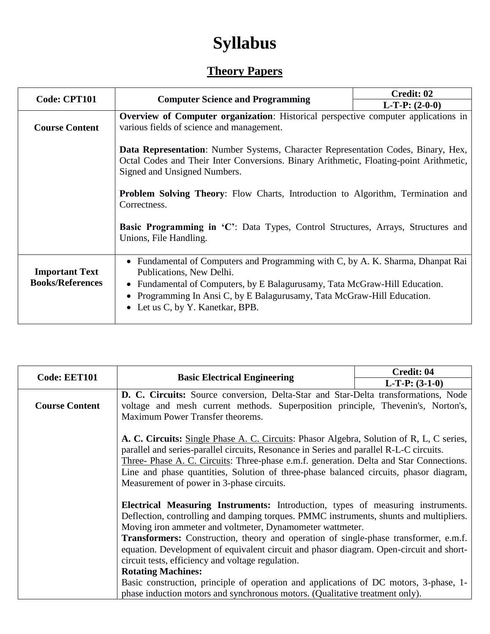# **Syllabus**

# **Theory Papers**

| Code: CPT101                                     |                                                                                                                                                                                                                                                                                                                                                                                                                                                   | Credit: 02 |  |
|--------------------------------------------------|---------------------------------------------------------------------------------------------------------------------------------------------------------------------------------------------------------------------------------------------------------------------------------------------------------------------------------------------------------------------------------------------------------------------------------------------------|------------|--|
|                                                  | <b>Computer Science and Programming</b>                                                                                                                                                                                                                                                                                                                                                                                                           |            |  |
|                                                  | <b>Overview of Computer organization:</b> Historical perspective computer applications in                                                                                                                                                                                                                                                                                                                                                         |            |  |
| <b>Course Content</b>                            | various fields of science and management.                                                                                                                                                                                                                                                                                                                                                                                                         |            |  |
|                                                  | <b>Data Representation:</b> Number Systems, Character Representation Codes, Binary, Hex,<br>Octal Codes and Their Inter Conversions. Binary Arithmetic, Floating-point Arithmetic,<br>Signed and Unsigned Numbers.<br><b>Problem Solving Theory:</b> Flow Charts, Introduction to Algorithm, Termination and<br>Correctness.<br><b>Basic Programming in 'C':</b> Data Types, Control Structures, Arrays, Structures and<br>Unions, File Handling. |            |  |
| <b>Important Text</b><br><b>Books/References</b> | • Fundamental of Computers and Programming with C, by A. K. Sharma, Dhanpat Rai<br>Publications, New Delhi.<br>• Fundamental of Computers, by E Balagurusamy, Tata McGraw-Hill Education.<br>• Programming In Ansi C, by E Balagurusamy, Tata McGraw-Hill Education.<br>• Let us C, by Y. Kanetkar, BPB.                                                                                                                                          |            |  |

| <b>Code: EET101</b>   | <b>Basic Electrical Engineering</b>                                                                                                                                                                                                                                                                                                                                                                                                                                                                                                                                                                                                                                                  | <b>Credit: 04</b> |
|-----------------------|--------------------------------------------------------------------------------------------------------------------------------------------------------------------------------------------------------------------------------------------------------------------------------------------------------------------------------------------------------------------------------------------------------------------------------------------------------------------------------------------------------------------------------------------------------------------------------------------------------------------------------------------------------------------------------------|-------------------|
|                       |                                                                                                                                                                                                                                                                                                                                                                                                                                                                                                                                                                                                                                                                                      | $L-T-P: (3-1-0)$  |
|                       | D. C. Circuits: Source conversion, Delta-Star and Star-Delta transformations, Node                                                                                                                                                                                                                                                                                                                                                                                                                                                                                                                                                                                                   |                   |
| <b>Course Content</b> | voltage and mesh current methods. Superposition principle, Thevenin's, Norton's,                                                                                                                                                                                                                                                                                                                                                                                                                                                                                                                                                                                                     |                   |
|                       | Maximum Power Transfer theorems.                                                                                                                                                                                                                                                                                                                                                                                                                                                                                                                                                                                                                                                     |                   |
|                       | A. C. Circuits: Single Phase A. C. Circuits: Phasor Algebra, Solution of R, L, C series,<br>parallel and series-parallel circuits, Resonance in Series and parallel R-L-C circuits.<br>Three-Phase A. C. Circuits: Three-phase e.m.f. generation. Delta and Star Connections.<br>Line and phase quantities, Solution of three-phase balanced circuits, phasor diagram,<br>Measurement of power in 3-phase circuits.                                                                                                                                                                                                                                                                  |                   |
|                       | Electrical Measuring Instruments: Introduction, types of measuring instruments.<br>Deflection, controlling and damping torques. PMMC instruments, shunts and multipliers.<br>Moving iron ammeter and voltmeter, Dynamometer wattmeter.<br>Transformers: Construction, theory and operation of single-phase transformer, e.m.f.<br>equation. Development of equivalent circuit and phasor diagram. Open-circuit and short-<br>circuit tests, efficiency and voltage regulation.<br><b>Rotating Machines:</b><br>Basic construction, principle of operation and applications of DC motors, 3-phase, 1-<br>phase induction motors and synchronous motors. (Qualitative treatment only). |                   |
|                       |                                                                                                                                                                                                                                                                                                                                                                                                                                                                                                                                                                                                                                                                                      |                   |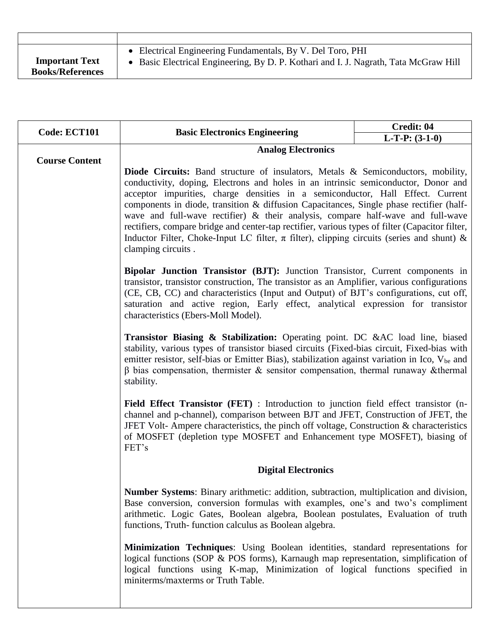| <b>Important Text</b>   | • Electrical Engineering Fundamentals, By V. Del Toro, PHI                           |
|-------------------------|--------------------------------------------------------------------------------------|
| <b>Books/References</b> | • Basic Electrical Engineering, By D. P. Kothari and I. J. Nagrath, Tata McGraw Hill |

| Code: ECT101          | <b>Basic Electronics Engineering</b>                                                                                                                                                                                                                                                                                                                                                                                                                                                                                                                                                                                                                                    | Credit: 04<br>$L-T-P: (3-1-0)$ |
|-----------------------|-------------------------------------------------------------------------------------------------------------------------------------------------------------------------------------------------------------------------------------------------------------------------------------------------------------------------------------------------------------------------------------------------------------------------------------------------------------------------------------------------------------------------------------------------------------------------------------------------------------------------------------------------------------------------|--------------------------------|
|                       | <b>Analog Electronics</b>                                                                                                                                                                                                                                                                                                                                                                                                                                                                                                                                                                                                                                               |                                |
| <b>Course Content</b> |                                                                                                                                                                                                                                                                                                                                                                                                                                                                                                                                                                                                                                                                         |                                |
|                       | <b>Diode Circuits:</b> Band structure of insulators, Metals & Semiconductors, mobility,<br>conductivity, doping, Electrons and holes in an intrinsic semiconductor, Donor and<br>acceptor impurities, charge densities in a semiconductor, Hall Effect. Current<br>components in diode, transition & diffusion Capacitances, Single phase rectifier (half-<br>wave and full-wave rectifier) & their analysis, compare half-wave and full-wave<br>rectifiers, compare bridge and center-tap rectifier, various types of filter (Capacitor filter,<br>Inductor Filter, Choke-Input LC filter, $\pi$ filter), clipping circuits (series and shunt) &<br>clamping circuits. |                                |
|                       | Bipolar Junction Transistor (BJT): Junction Transistor, Current components in<br>transistor, transistor construction, The transistor as an Amplifier, various configurations<br>(CE, CB, CC) and characteristics (Input and Output) of BJT's configurations, cut off,<br>saturation and active region, Early effect, analytical expression for transistor<br>characteristics (Ebers-Moll Model).                                                                                                                                                                                                                                                                        |                                |
|                       | Transistor Biasing & Stabilization: Operating point. DC &AC load line, biased<br>stability, various types of transistor biased circuits (Fixed-bias circuit, Fixed-bias with<br>emitter resistor, self-bias or Emitter Bias), stabilization against variation in Ico, V <sub>be</sub> and<br>$\beta$ bias compensation, thermister & sensitor compensation, thermal runaway & thermal<br>stability.                                                                                                                                                                                                                                                                     |                                |
|                       | Field Effect Transistor (FET) : Introduction to junction field effect transistor (n-<br>channel and p-channel), comparison between BJT and JFET, Construction of JFET, the<br>JFET Volt-Ampere characteristics, the pinch off voltage, Construction & characteristics<br>of MOSFET (depletion type MOSFET and Enhancement type MOSFET), biasing of<br>FET's                                                                                                                                                                                                                                                                                                             |                                |
|                       | <b>Digital Electronics</b>                                                                                                                                                                                                                                                                                                                                                                                                                                                                                                                                                                                                                                              |                                |
|                       | Number Systems: Binary arithmetic: addition, subtraction, multiplication and division,<br>Base conversion, conversion formulas with examples, one's and two's compliment<br>arithmetic. Logic Gates, Boolean algebra, Boolean postulates, Evaluation of truth<br>functions, Truth-function calculus as Boolean algebra.                                                                                                                                                                                                                                                                                                                                                 |                                |
|                       | Minimization Techniques: Using Boolean identities, standard representations for<br>logical functions (SOP & POS forms), Karnaugh map representation, simplification of<br>logical functions using K-map, Minimization of logical functions specified in<br>miniterms/maxterms or Truth Table.                                                                                                                                                                                                                                                                                                                                                                           |                                |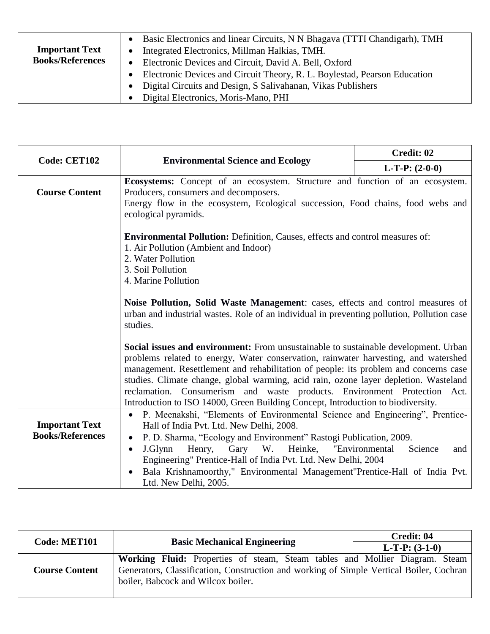| <b>Important Text</b><br><b>Books/References</b> | Basic Electronics and linear Circuits, N N Bhagava (TTTI Chandigarh), TMH<br>Integrated Electronics, Millman Halkias, TMH.<br>$\bullet$<br>Electronic Devices and Circuit, David A. Bell, Oxford<br>$\bullet$ |  |
|--------------------------------------------------|---------------------------------------------------------------------------------------------------------------------------------------------------------------------------------------------------------------|--|
|                                                  | Electronic Devices and Circuit Theory, R. L. Boylestad, Pearson Education                                                                                                                                     |  |
|                                                  | Digital Circuits and Design, S Salivahanan, Vikas Publishers<br>$\bullet$                                                                                                                                     |  |
|                                                  | Digital Electronics, Moris-Mano, PHI<br>$\bullet$                                                                                                                                                             |  |

| <b>Code: CET102</b>                              |                                                                                                                                                                                                                                                                                                                                                                                                                                                                                                                            | Credit: 02       |  |
|--------------------------------------------------|----------------------------------------------------------------------------------------------------------------------------------------------------------------------------------------------------------------------------------------------------------------------------------------------------------------------------------------------------------------------------------------------------------------------------------------------------------------------------------------------------------------------------|------------------|--|
|                                                  | <b>Environmental Science and Ecology</b>                                                                                                                                                                                                                                                                                                                                                                                                                                                                                   | $L-T-P: (2-0-0)$ |  |
| <b>Course Content</b>                            | Ecosystems: Concept of an ecosystem. Structure and function of an ecosystem.<br>Producers, consumers and decomposers.<br>Energy flow in the ecosystem, Ecological succession, Food chains, food webs and<br>ecological pyramids.                                                                                                                                                                                                                                                                                           |                  |  |
|                                                  | <b>Environmental Pollution:</b> Definition, Causes, effects and control measures of:<br>1. Air Pollution (Ambient and Indoor)<br>2. Water Pollution<br>3. Soil Pollution<br>4. Marine Pollution                                                                                                                                                                                                                                                                                                                            |                  |  |
|                                                  | Noise Pollution, Solid Waste Management: cases, effects and control measures of<br>urban and industrial wastes. Role of an individual in preventing pollution, Pollution case<br>studies.                                                                                                                                                                                                                                                                                                                                  |                  |  |
|                                                  | Social issues and environment: From unsustainable to sustainable development. Urban<br>problems related to energy, Water conservation, rainwater harvesting, and watershed<br>management. Resettlement and rehabilitation of people: its problem and concerns case<br>studies. Climate change, global warming, acid rain, ozone layer depletion. Wasteland<br>reclamation. Consumerism and waste products. Environment Protection Act.<br>Introduction to ISO 14000, Green Building Concept, Introduction to biodiversity. |                  |  |
| <b>Important Text</b><br><b>Books/References</b> | P. Meenakshi, "Elements of Environmental Science and Engineering", Prentice-<br>$\bullet$<br>Hall of India Pvt. Ltd. New Delhi, 2008.<br>P. D. Sharma, "Ecology and Environment" Rastogi Publication, 2009.<br>$\bullet$<br>Gary W. Heinke, "Environmental<br>J.Glynn<br>Henry,<br>Science<br>and<br>$\bullet$<br>Engineering" Prentice-Hall of India Pvt. Ltd. New Delhi, 2004<br>Bala Krishnamoorthy," Environmental Management"Prentice-Hall of India Pvt.<br>$\bullet$<br>Ltd. New Delhi, 2005.                        |                  |  |

| <b>Code: MET101</b>   | <b>Basic Mechanical Engineering</b>                                                                                                                                                                          | Credit: 04       |  |
|-----------------------|--------------------------------------------------------------------------------------------------------------------------------------------------------------------------------------------------------------|------------------|--|
|                       |                                                                                                                                                                                                              | $L-T-P: (3-1-0)$ |  |
| <b>Course Content</b> | Working Fluid: Properties of steam, Steam tables and Mollier Diagram. Steam<br>Generators, Classification, Construction and working of Simple Vertical Boiler, Cochran<br>boiler, Babcock and Wilcox boiler. |                  |  |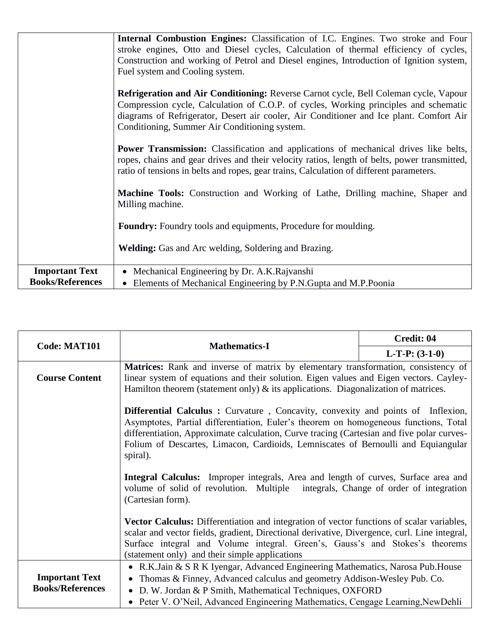|                         | Internal Combustion Engines: Classification of I.C. Engines. Two stroke and Four<br>stroke engines, Otto and Diesel cycles, Calculation of thermal efficiency of cycles,<br>Construction and working of Petrol and Diesel engines, Introduction of Ignition system,<br>Fuel system and Cooling system.                   |
|-------------------------|--------------------------------------------------------------------------------------------------------------------------------------------------------------------------------------------------------------------------------------------------------------------------------------------------------------------------|
|                         | Refrigeration and Air Conditioning: Reverse Carnot cycle, Bell Coleman cycle, Vapour<br>Compression cycle, Calculation of C.O.P. of cycles, Working principles and schematic<br>diagrams of Refrigerator, Desert air cooler, Air Conditioner and Ice plant. Comfort Air<br>Conditioning, Summer Air Conditioning system. |
|                         | <b>Power Transmission:</b> Classification and applications of mechanical drives like belts,<br>ropes, chains and gear drives and their velocity ratios, length of belts, power transmitted,<br>ratio of tensions in belts and ropes, gear trains, Calculation of different parameters.                                   |
|                         | Machine Tools: Construction and Working of Lathe, Drilling machine, Shaper and<br>Milling machine.                                                                                                                                                                                                                       |
|                         | <b>Foundry:</b> Foundry tools and equipments, Procedure for moulding.                                                                                                                                                                                                                                                    |
|                         | <b>Welding:</b> Gas and Arc welding, Soldering and Brazing.                                                                                                                                                                                                                                                              |
| <b>Important Text</b>   | • Mechanical Engineering by Dr. A.K. Rajvanshi                                                                                                                                                                                                                                                                           |
| <b>Books/References</b> | • Elements of Mechanical Engineering by P.N.Gupta and M.P.Poonia                                                                                                                                                                                                                                                         |

| <b>Code: MAT101</b>                              | <b>Mathematics-I</b>                                                                                                                                                                                                                                                                                                                                                          | Credit: 04       |  |
|--------------------------------------------------|-------------------------------------------------------------------------------------------------------------------------------------------------------------------------------------------------------------------------------------------------------------------------------------------------------------------------------------------------------------------------------|------------------|--|
|                                                  |                                                                                                                                                                                                                                                                                                                                                                               | $L-T-P: (3-1-0)$ |  |
| <b>Course Content</b>                            | Matrices: Rank and inverse of matrix by elementary transformation, consistency of<br>linear system of equations and their solution. Eigen values and Eigen vectors. Cayley-<br>Hamilton theorem (statement only) $\&$ its applications. Diagonalization of matrices.                                                                                                          |                  |  |
|                                                  | <b>Differential Calculus :</b> Curvature, Concavity, convexity and points of Inflexion,<br>Asymptotes, Partial differentiation, Euler's theorem on homogeneous functions, Total<br>differentiation, Approximate calculation, Curve tracing (Cartesian and five polar curves-<br>Folium of Descartes, Limacon, Cardioids, Lemniscates of Bernoulli and Equiangular<br>spiral). |                  |  |
|                                                  | Integral Calculus: Improper integrals, Area and length of curves, Surface area and<br>volume of solid of revolution. Multiple integrals, Change of order of integration<br>(Cartesian form).                                                                                                                                                                                  |                  |  |
|                                                  | <b>Vector Calculus:</b> Differentiation and integration of vector functions of scalar variables,<br>scalar and vector fields, gradient, Directional derivative, Divergence, curl. Line integral,<br>Surface integral and Volume integral. Green's, Gauss's and Stokes's theorems<br>(statement only) and their simple applications                                            |                  |  |
| <b>Important Text</b><br><b>Books/References</b> | • R.K.Jain & S R K Iyengar, Advanced Engineering Mathematics, Narosa Pub.House<br>Thomas & Finney, Advanced calculus and geometry Addison-Wesley Pub. Co.<br>D. W. Jordan & P Smith, Mathematical Techniques, OXFORD<br>$\bullet$<br>• Peter V. O'Neil, Advanced Engineering Mathematics, Cengage Learning, New Dehli                                                         |                  |  |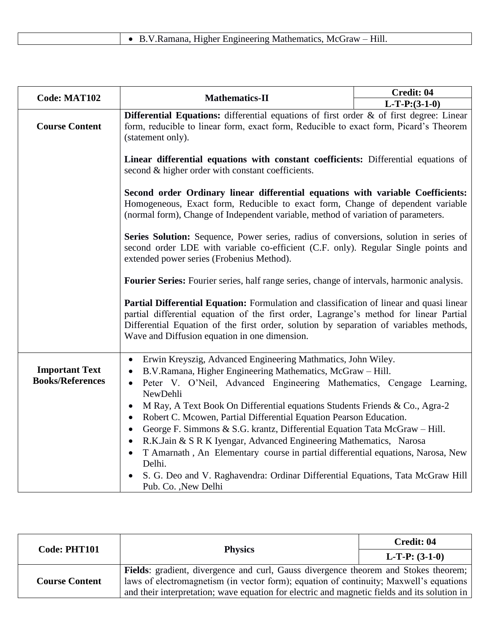|--|

| <b>Code: MAT102</b>                              | <b>Mathematics-II</b>                                                                                                                                                                                                                                                                                                                                                                                                                                                                                                                                                                                                                                                                                                                                                                                                                              | Credit: 04      |  |
|--------------------------------------------------|----------------------------------------------------------------------------------------------------------------------------------------------------------------------------------------------------------------------------------------------------------------------------------------------------------------------------------------------------------------------------------------------------------------------------------------------------------------------------------------------------------------------------------------------------------------------------------------------------------------------------------------------------------------------------------------------------------------------------------------------------------------------------------------------------------------------------------------------------|-----------------|--|
|                                                  |                                                                                                                                                                                                                                                                                                                                                                                                                                                                                                                                                                                                                                                                                                                                                                                                                                                    | $L-T-P:(3-1-0)$ |  |
| <b>Course Content</b>                            | <b>Differential Equations:</b> differential equations of first order $\&$ of first degree: Linear<br>form, reducible to linear form, exact form, Reducible to exact form, Picard's Theorem<br>(statement only).                                                                                                                                                                                                                                                                                                                                                                                                                                                                                                                                                                                                                                    |                 |  |
|                                                  | Linear differential equations with constant coefficients: Differential equations of<br>second & higher order with constant coefficients.                                                                                                                                                                                                                                                                                                                                                                                                                                                                                                                                                                                                                                                                                                           |                 |  |
|                                                  | Second order Ordinary linear differential equations with variable Coefficients:<br>Homogeneous, Exact form, Reducible to exact form, Change of dependent variable<br>(normal form), Change of Independent variable, method of variation of parameters.                                                                                                                                                                                                                                                                                                                                                                                                                                                                                                                                                                                             |                 |  |
|                                                  | Series Solution: Sequence, Power series, radius of conversions, solution in series of<br>second order LDE with variable co-efficient (C.F. only). Regular Single points and<br>extended power series (Frobenius Method).                                                                                                                                                                                                                                                                                                                                                                                                                                                                                                                                                                                                                           |                 |  |
|                                                  | Fourier Series: Fourier series, half range series, change of intervals, harmonic analysis.                                                                                                                                                                                                                                                                                                                                                                                                                                                                                                                                                                                                                                                                                                                                                         |                 |  |
|                                                  | Partial Differential Equation: Formulation and classification of linear and quasi linear<br>partial differential equation of the first order, Lagrange's method for linear Partial<br>Differential Equation of the first order, solution by separation of variables methods,<br>Wave and Diffusion equation in one dimension.                                                                                                                                                                                                                                                                                                                                                                                                                                                                                                                      |                 |  |
| <b>Important Text</b><br><b>Books/References</b> | Erwin Kreyszig, Advanced Engineering Mathmatics, John Wiley.<br>$\bullet$<br>B.V.Ramana, Higher Engineering Mathematics, McGraw - Hill.<br>$\bullet$<br>Peter V. O'Neil, Advanced Engineering Mathematics, Cengage Learning,<br>$\bullet$<br>NewDehli<br>M Ray, A Text Book On Differential equations Students Friends & Co., Agra-2<br>$\bullet$<br>Robert C. Mcowen, Partial Differential Equation Pearson Education.<br>$\bullet$<br>George F. Simmons & S.G. krantz, Differential Equation Tata McGraw - Hill.<br>$\bullet$<br>R.K.Jain & S R K Iyengar, Advanced Engineering Mathematics, Narosa<br>$\bullet$<br>T Amarnath, An Elementary course in partial differential equations, Narosa, New<br>$\bullet$<br>Delhi.<br>S. G. Deo and V. Raghavendra: Ordinar Differential Equations, Tata McGraw Hill<br>$\bullet$<br>Pub. Co., New Delhi |                 |  |

| Code: PHT101          | <b>Physics</b>                                                                                                                                                                        | Credit: 04       |
|-----------------------|---------------------------------------------------------------------------------------------------------------------------------------------------------------------------------------|------------------|
|                       |                                                                                                                                                                                       | $L-T-P: (3-1-0)$ |
| <b>Course Content</b> | <b>Fields</b> : gradient, divergence and curl, Gauss divergence theorem and Stokes theorem;<br>laws of electromagnetism (in vector form); equation of continuity; Maxwell's equations |                  |
|                       | and their interpretation; wave equation for electric and magnetic fields and its solution in                                                                                          |                  |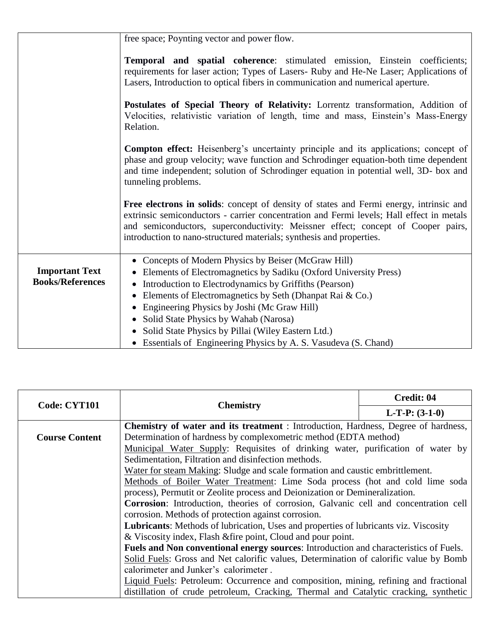|                         | free space; Poynting vector and power flow.                                                                                                                                                                                                                                                                                                    |  |  |
|-------------------------|------------------------------------------------------------------------------------------------------------------------------------------------------------------------------------------------------------------------------------------------------------------------------------------------------------------------------------------------|--|--|
|                         | <b>Temporal and spatial coherence:</b> stimulated emission, Einstein coefficients;<br>requirements for laser action; Types of Lasers- Ruby and He-Ne Laser; Applications of<br>Lasers, Introduction to optical fibers in communication and numerical aperture.                                                                                 |  |  |
|                         | Postulates of Special Theory of Relativity: Lorrentz transformation, Addition of<br>Velocities, relativistic variation of length, time and mass, Einstein's Mass-Energy<br>Relation.                                                                                                                                                           |  |  |
|                         | <b>Compton effect:</b> Heisenberg's uncertainty principle and its applications; concept of<br>phase and group velocity; wave function and Schrodinger equation-both time dependent<br>and time independent; solution of Schrodinger equation in potential well, 3D- box and<br>tunneling problems.                                             |  |  |
|                         | Free electrons in solids: concept of density of states and Fermi energy, intrinsic and<br>extrinsic semiconductors - carrier concentration and Fermi levels; Hall effect in metals<br>and semiconductors, superconductivity: Meissner effect; concept of Cooper pairs,<br>introduction to nano-structured materials; synthesis and properties. |  |  |
|                         | • Concepts of Modern Physics by Beiser (McGraw Hill)                                                                                                                                                                                                                                                                                           |  |  |
| <b>Important Text</b>   | Elements of Electromagnetics by Sadiku (Oxford University Press)<br>$\bullet$                                                                                                                                                                                                                                                                  |  |  |
| <b>Books/References</b> | Introduction to Electrodynamics by Griffiths (Pearson)                                                                                                                                                                                                                                                                                         |  |  |
|                         | Elements of Electromagnetics by Seth (Dhanpat Rai & Co.)<br>Engineering Physics by Joshi (Mc Graw Hill)                                                                                                                                                                                                                                        |  |  |
|                         | Solid State Physics by Wahab (Narosa)                                                                                                                                                                                                                                                                                                          |  |  |
|                         | Solid State Physics by Pillai (Wiley Eastern Ltd.)                                                                                                                                                                                                                                                                                             |  |  |
|                         | • Essentials of Engineering Physics by A. S. Vasudeva (S. Chand)                                                                                                                                                                                                                                                                               |  |  |

| Code: CYT101          | <b>Chemistry</b>                                                                          | Credit: 04       |
|-----------------------|-------------------------------------------------------------------------------------------|------------------|
|                       |                                                                                           | $L-T-P: (3-1-0)$ |
|                       | <b>Chemistry of water and its treatment</b> : Introduction, Hardness, Degree of hardness, |                  |
| <b>Course Content</b> | Determination of hardness by complexometric method (EDTA method)                          |                  |
|                       | Municipal Water Supply: Requisites of drinking water, purification of water by            |                  |
|                       | Sedimentation, Filtration and disinfection methods.                                       |                  |
|                       | Water for steam Making: Sludge and scale formation and caustic embrittlement.             |                  |
|                       | Methods of Boiler Water Treatment: Lime Soda process (hot and cold lime soda              |                  |
|                       | process), Permutit or Zeolite process and Deionization or Demineralization.               |                  |
|                       | Corrosion: Introduction, theories of corrosion, Galvanic cell and concentration cell      |                  |
|                       | corrosion. Methods of protection against corrosion.                                       |                  |
|                       | Lubricants: Methods of lubrication, Uses and properties of lubricants viz. Viscosity      |                  |
|                       | & Viscosity index, Flash & fire point, Cloud and pour point.                              |                  |
|                       | Fuels and Non conventional energy sources: Introduction and characteristics of Fuels.     |                  |
|                       | Solid Fuels: Gross and Net calorific values, Determination of calorific value by Bomb     |                  |
|                       | calorimeter and Junker's calorimeter.                                                     |                  |
|                       | Liquid Fuels: Petroleum: Occurrence and composition, mining, refining and fractional      |                  |
|                       | distillation of crude petroleum, Cracking, Thermal and Catalytic cracking, synthetic      |                  |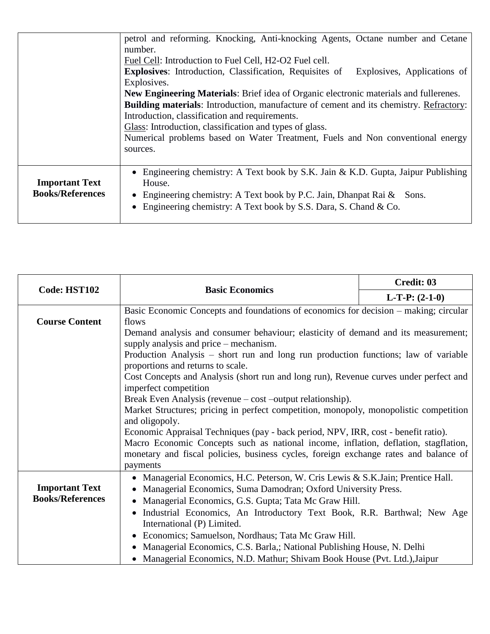|                         | petrol and reforming. Knocking, Anti-knocking Agents, Octane number and Cetane                |  |  |  |
|-------------------------|-----------------------------------------------------------------------------------------------|--|--|--|
|                         | number.<br>Fuel Cell: Introduction to Fuel Cell, H2-O2 Fuel cell.                             |  |  |  |
|                         |                                                                                               |  |  |  |
|                         | <b>Explosives:</b> Introduction, Classification, Requisites of<br>Explosives, Applications of |  |  |  |
|                         | Explosives.                                                                                   |  |  |  |
|                         | New Engineering Materials: Brief idea of Organic electronic materials and fullerenes.         |  |  |  |
|                         | <b>Building materials:</b> Introduction, manufacture of cement and its chemistry. Refractory: |  |  |  |
|                         | Introduction, classification and requirements.                                                |  |  |  |
|                         | Glass: Introduction, classification and types of glass.                                       |  |  |  |
|                         | Numerical problems based on Water Treatment, Fuels and Non conventional energy                |  |  |  |
|                         | sources.                                                                                      |  |  |  |
|                         |                                                                                               |  |  |  |
|                         | Engineering chemistry: A Text book by S.K. Jain & K.D. Gupta, Jaipur Publishing<br>$\bullet$  |  |  |  |
| <b>Important Text</b>   | House.                                                                                        |  |  |  |
| <b>Books/References</b> | • Engineering chemistry: A Text book by P.C. Jain, Dhanpat Rai $\&$ Sons.                     |  |  |  |
|                         | • Engineering chemistry: A Text book by S.S. Dara, S. Chand & Co.                             |  |  |  |
|                         |                                                                                               |  |  |  |

| Code: HST102            |                                                                                            | Credit: 03       |  |
|-------------------------|--------------------------------------------------------------------------------------------|------------------|--|
|                         | <b>Basic Economics</b>                                                                     | $L-T-P: (2-1-0)$ |  |
|                         | Basic Economic Concepts and foundations of economics for decision - making; circular       |                  |  |
| <b>Course Content</b>   | flows<br>Demand analysis and consumer behaviour; elasticity of demand and its measurement; |                  |  |
|                         |                                                                                            |                  |  |
|                         | supply analysis and price – mechanism.                                                     |                  |  |
|                         | Production Analysis – short run and long run production functions; law of variable         |                  |  |
|                         | proportions and returns to scale.                                                          |                  |  |
|                         | Cost Concepts and Analysis (short run and long run), Revenue curves under perfect and      |                  |  |
|                         | imperfect competition                                                                      |                  |  |
|                         | Break Even Analysis (revenue – cost –output relationship).                                 |                  |  |
|                         | Market Structures; pricing in perfect competition, monopoly, monopolistic competition      |                  |  |
|                         | and oligopoly.                                                                             |                  |  |
|                         | Economic Appraisal Techniques (pay - back period, NPV, IRR, cost - benefit ratio).         |                  |  |
|                         | Macro Economic Concepts such as national income, inflation, deflation, stagflation,        |                  |  |
|                         | monetary and fiscal policies, business cycles, foreign exchange rates and balance of       |                  |  |
|                         | payments                                                                                   |                  |  |
|                         | • Managerial Economics, H.C. Peterson, W. Cris Lewis & S.K.Jain; Prentice Hall.            |                  |  |
| <b>Important Text</b>   | Managerial Economics, Suma Damodran; Oxford University Press.                              |                  |  |
| <b>Books/References</b> | Managerial Economics, G.S. Gupta; Tata Mc Graw Hill.                                       |                  |  |
|                         | Industrial Economics, An Introductory Text Book, R.R. Barthwal; New Age                    |                  |  |
|                         | International (P) Limited.                                                                 |                  |  |
|                         | • Economics; Samuelson, Nordhaus; Tata Mc Graw Hill.                                       |                  |  |
|                         | Managerial Economics, C.S. Barla,; National Publishing House, N. Delhi                     |                  |  |
|                         | • Managerial Economics, N.D. Mathur; Shivam Book House (Pvt. Ltd.), Jaipur                 |                  |  |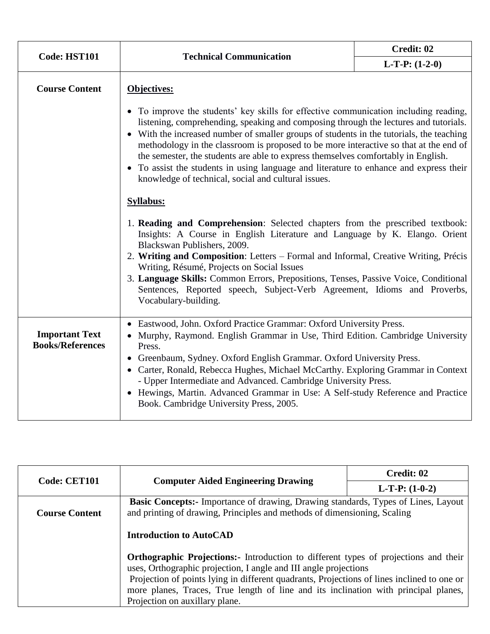|                                                  | Code: HST101<br><b>Technical Communication</b>                                                                                                                                                                                                                                                                                                                                                                                                                                                                                                                                                          | Credit: 02       |
|--------------------------------------------------|---------------------------------------------------------------------------------------------------------------------------------------------------------------------------------------------------------------------------------------------------------------------------------------------------------------------------------------------------------------------------------------------------------------------------------------------------------------------------------------------------------------------------------------------------------------------------------------------------------|------------------|
|                                                  |                                                                                                                                                                                                                                                                                                                                                                                                                                                                                                                                                                                                         | $L-T-P: (1-2-0)$ |
| <b>Course Content</b>                            | Objectives:                                                                                                                                                                                                                                                                                                                                                                                                                                                                                                                                                                                             |                  |
|                                                  | • To improve the students' key skills for effective communication including reading,<br>listening, comprehending, speaking and composing through the lectures and tutorials.<br>• With the increased number of smaller groups of students in the tutorials, the teaching<br>methodology in the classroom is proposed to be more interactive so that at the end of<br>the semester, the students are able to express themselves comfortably in English.<br>• To assist the students in using language and literature to enhance and express their<br>knowledge of technical, social and cultural issues. |                  |
|                                                  | <b>Syllabus:</b>                                                                                                                                                                                                                                                                                                                                                                                                                                                                                                                                                                                        |                  |
|                                                  | 1. Reading and Comprehension: Selected chapters from the prescribed textbook:<br>Insights: A Course in English Literature and Language by K. Elango. Orient<br>Blackswan Publishers, 2009.<br>2. Writing and Composition: Letters - Formal and Informal, Creative Writing, Précis<br>Writing, Résumé, Projects on Social Issues<br>3. Language Skills: Common Errors, Prepositions, Tenses, Passive Voice, Conditional<br>Sentences, Reported speech, Subject-Verb Agreement, Idioms and Proverbs,<br>Vocabulary-building.                                                                              |                  |
| <b>Important Text</b><br><b>Books/References</b> | • Eastwood, John. Oxford Practice Grammar: Oxford University Press.<br>• Murphy, Raymond. English Grammar in Use, Third Edition. Cambridge University<br>Press.<br>• Greenbaum, Sydney. Oxford English Grammar. Oxford University Press.<br>• Carter, Ronald, Rebecca Hughes, Michael McCarthy. Exploring Grammar in Context<br>- Upper Intermediate and Advanced. Cambridge University Press.<br>• Hewings, Martin. Advanced Grammar in Use: A Self-study Reference and Practice                                                                                                                       |                  |
|                                                  | Book. Cambridge University Press, 2005.                                                                                                                                                                                                                                                                                                                                                                                                                                                                                                                                                                 |                  |

| Code: CET101          | <b>Computer Aided Engineering Drawing</b>                                                                                                                     | Credit: 02              |
|-----------------------|---------------------------------------------------------------------------------------------------------------------------------------------------------------|-------------------------|
|                       |                                                                                                                                                               | <b>L-T-P:</b> $(1-0-2)$ |
|                       | <b>Basic Concepts:</b> - Importance of drawing, Drawing standards, Types of Lines, Layout                                                                     |                         |
| <b>Course Content</b> | and printing of drawing, Principles and methods of dimensioning, Scaling                                                                                      |                         |
|                       | <b>Introduction to AutoCAD</b>                                                                                                                                |                         |
|                       | <b>Orthographic Projections:</b> Introduction to different types of projections and their<br>uses, Orthographic projection, I angle and III angle projections |                         |
|                       | Projection of points lying in different quadrants, Projections of lines inclined to one or                                                                    |                         |
|                       | more planes, Traces, True length of line and its inclination with principal planes,                                                                           |                         |
|                       | Projection on auxillary plane.                                                                                                                                |                         |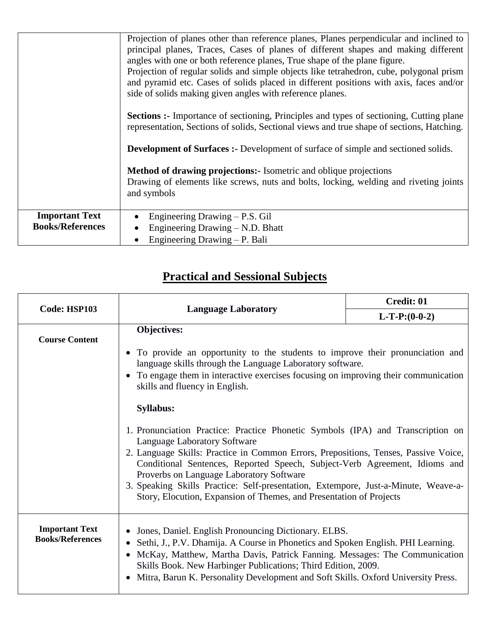|                                                  | Projection of planes other than reference planes, Planes perpendicular and inclined to<br>principal planes, Traces, Cases of planes of different shapes and making different<br>angles with one or both reference planes, True shape of the plane figure.<br>Projection of regular solids and simple objects like tetrahedron, cube, polygonal prism<br>and pyramid etc. Cases of solids placed in different positions with axis, faces and/or<br>side of solids making given angles with reference planes.<br><b>Sections :-</b> Importance of sectioning, Principles and types of sectioning, Cutting plane<br>representation, Sections of solids, Sectional views and true shape of sections, Hatching.<br><b>Development of Surfaces :-</b> Development of surface of simple and sectioned solids.<br><b>Method of drawing projections:</b> Isometric and oblique projections<br>Drawing of elements like screws, nuts and bolts, locking, welding and riveting joints<br>and symbols |
|--------------------------------------------------|-------------------------------------------------------------------------------------------------------------------------------------------------------------------------------------------------------------------------------------------------------------------------------------------------------------------------------------------------------------------------------------------------------------------------------------------------------------------------------------------------------------------------------------------------------------------------------------------------------------------------------------------------------------------------------------------------------------------------------------------------------------------------------------------------------------------------------------------------------------------------------------------------------------------------------------------------------------------------------------------|
| <b>Important Text</b><br><b>Books/References</b> | Engineering Drawing $-$ P.S. Gil<br>Engineering Drawing – N.D. Bhatt                                                                                                                                                                                                                                                                                                                                                                                                                                                                                                                                                                                                                                                                                                                                                                                                                                                                                                                      |
|                                                  | Engineering Drawing – P. Bali                                                                                                                                                                                                                                                                                                                                                                                                                                                                                                                                                                                                                                                                                                                                                                                                                                                                                                                                                             |

## **Practical and Sessional Subjects**

| Code: HSP103                                     |                                                                                                                                                                                                                                                                                                                                                                                                        | Credit: 01                                                                          |  |
|--------------------------------------------------|--------------------------------------------------------------------------------------------------------------------------------------------------------------------------------------------------------------------------------------------------------------------------------------------------------------------------------------------------------------------------------------------------------|-------------------------------------------------------------------------------------|--|
|                                                  | <b>Language Laboratory</b>                                                                                                                                                                                                                                                                                                                                                                             | $L-T-P:(0-0-2)$                                                                     |  |
| <b>Course Content</b>                            | Objectives:                                                                                                                                                                                                                                                                                                                                                                                            |                                                                                     |  |
|                                                  | • To provide an opportunity to the students to improve their pronunciation and<br>language skills through the Language Laboratory software.                                                                                                                                                                                                                                                            |                                                                                     |  |
|                                                  | skills and fluency in English.                                                                                                                                                                                                                                                                                                                                                                         | • To engage them in interactive exercises focusing on improving their communication |  |
|                                                  | <b>Syllabus:</b>                                                                                                                                                                                                                                                                                                                                                                                       |                                                                                     |  |
|                                                  | 1. Pronunciation Practice: Practice Phonetic Symbols (IPA) and Transcription on<br><b>Language Laboratory Software</b>                                                                                                                                                                                                                                                                                 |                                                                                     |  |
|                                                  | 2. Language Skills: Practice in Common Errors, Prepositions, Tenses, Passive Voice,<br>Conditional Sentences, Reported Speech, Subject-Verb Agreement, Idioms and<br>Proverbs on Language Laboratory Software                                                                                                                                                                                          |                                                                                     |  |
|                                                  | 3. Speaking Skills Practice: Self-presentation, Extempore, Just-a-Minute, Weave-a-<br>Story, Elocution, Expansion of Themes, and Presentation of Projects                                                                                                                                                                                                                                              |                                                                                     |  |
| <b>Important Text</b><br><b>Books/References</b> | Jones, Daniel. English Pronouncing Dictionary. ELBS.<br>Sethi, J., P.V. Dhamija. A Course in Phonetics and Spoken English. PHI Learning.<br>$\bullet$<br>McKay, Matthew, Martha Davis, Patrick Fanning. Messages: The Communication<br>$\bullet$<br>Skills Book. New Harbinger Publications; Third Edition, 2009.<br>Mitra, Barun K. Personality Development and Soft Skills. Oxford University Press. |                                                                                     |  |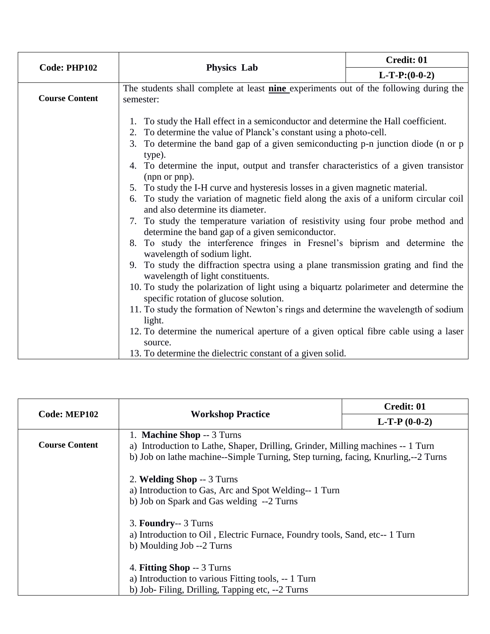| Code: PHP102          | <b>Physics Lab</b>                                                                                                                                                                                                                                                                                                                                                                                                                                                                                                                                                                                                                                                                                                                                                                                                                                                                                                                                                                                                                                                                                     | Credit: 01      |
|-----------------------|--------------------------------------------------------------------------------------------------------------------------------------------------------------------------------------------------------------------------------------------------------------------------------------------------------------------------------------------------------------------------------------------------------------------------------------------------------------------------------------------------------------------------------------------------------------------------------------------------------------------------------------------------------------------------------------------------------------------------------------------------------------------------------------------------------------------------------------------------------------------------------------------------------------------------------------------------------------------------------------------------------------------------------------------------------------------------------------------------------|-----------------|
|                       |                                                                                                                                                                                                                                                                                                                                                                                                                                                                                                                                                                                                                                                                                                                                                                                                                                                                                                                                                                                                                                                                                                        | $L-T-P:(0-0-2)$ |
| <b>Course Content</b> | The students shall complete at least nine experiments out of the following during the<br>semester:                                                                                                                                                                                                                                                                                                                                                                                                                                                                                                                                                                                                                                                                                                                                                                                                                                                                                                                                                                                                     |                 |
|                       | 1. To study the Hall effect in a semiconductor and determine the Hall coefficient.<br>2. To determine the value of Planck's constant using a photo-cell.<br>To determine the band gap of a given semiconducting p-n junction diode (n or p<br>3.<br>type).<br>4. To determine the input, output and transfer characteristics of a given transistor<br>(npn or pnp).<br>5. To study the I-H curve and hysteresis losses in a given magnetic material.<br>6. To study the variation of magnetic field along the axis of a uniform circular coil<br>and also determine its diameter.<br>7. To study the temperature variation of resistivity using four probe method and<br>determine the band gap of a given semiconductor.<br>8. To study the interference fringes in Fresnel's biprism and determine the<br>wavelength of sodium light.<br>9. To study the diffraction spectra using a plane transmission grating and find the<br>wavelength of light constituents.<br>10. To study the polarization of light using a biquartz polarimeter and determine the<br>specific rotation of glucose solution. |                 |
|                       | 11. To study the formation of Newton's rings and determine the wavelength of sodium<br>light.                                                                                                                                                                                                                                                                                                                                                                                                                                                                                                                                                                                                                                                                                                                                                                                                                                                                                                                                                                                                          |                 |
|                       | 12. To determine the numerical aperture of a given optical fibre cable using a laser<br>source.<br>13. To determine the dielectric constant of a given solid.                                                                                                                                                                                                                                                                                                                                                                                                                                                                                                                                                                                                                                                                                                                                                                                                                                                                                                                                          |                 |

| <b>Code: MEP102</b>   | <b>Workshop Practice</b>                                                                                                                                                                           | Credit: 01     |
|-----------------------|----------------------------------------------------------------------------------------------------------------------------------------------------------------------------------------------------|----------------|
|                       |                                                                                                                                                                                                    | $L-T-P(0-0-2)$ |
| <b>Course Content</b> | 1. Machine Shop -- 3 Turns<br>a) Introduction to Lathe, Shaper, Drilling, Grinder, Milling machines -- 1 Turn<br>b) Job on lathe machine--Simple Turning, Step turning, facing, Knurling,--2 Turns |                |
|                       | 2. Welding Shop -- 3 Turns<br>a) Introduction to Gas, Arc and Spot Welding-- 1 Turn<br>b) Job on Spark and Gas welding --2 Turns                                                                   |                |
|                       | 3. Foundry-- 3 Turns<br>a) Introduction to Oil, Electric Furnace, Foundry tools, Sand, etc--1 Turn<br>b) Moulding Job --2 Turns                                                                    |                |
|                       | 4. Fitting Shop -- 3 Turns<br>a) Introduction to various Fitting tools, -- 1 Turn<br>b) Job-Filing, Drilling, Tapping etc, --2 Turns                                                               |                |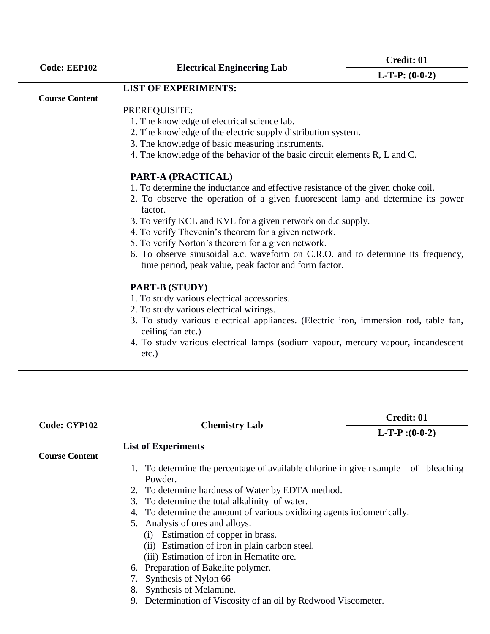|                       | <b>Electrical Engineering Lab</b>                                                                                                         | Credit: 01       |  |
|-----------------------|-------------------------------------------------------------------------------------------------------------------------------------------|------------------|--|
| Code: EEP102          |                                                                                                                                           | $L-T-P: (0-0-2)$ |  |
|                       | <b>LIST OF EXPERIMENTS:</b>                                                                                                               |                  |  |
| <b>Course Content</b> |                                                                                                                                           |                  |  |
|                       | PREREQUISITE:                                                                                                                             |                  |  |
|                       | 1. The knowledge of electrical science lab.                                                                                               |                  |  |
|                       | 2. The knowledge of the electric supply distribution system.                                                                              |                  |  |
|                       | 3. The knowledge of basic measuring instruments.                                                                                          |                  |  |
|                       | 4. The knowledge of the behavior of the basic circuit elements R, L and C.                                                                |                  |  |
|                       | PART-A (PRACTICAL)                                                                                                                        |                  |  |
|                       | 1. To determine the inductance and effective resistance of the given choke coil.                                                          |                  |  |
|                       | 2. To observe the operation of a given fluorescent lamp and determine its power                                                           |                  |  |
|                       | factor.                                                                                                                                   |                  |  |
|                       | 3. To verify KCL and KVL for a given network on d.c supply.                                                                               |                  |  |
|                       | 4. To verify Thevenin's theorem for a given network.                                                                                      |                  |  |
|                       | 5. To verify Norton's theorem for a given network.                                                                                        |                  |  |
|                       | 6. To observe sinusoidal a.c. waveform on C.R.O. and to determine its frequency,<br>time period, peak value, peak factor and form factor. |                  |  |
|                       | PART-B (STUDY)                                                                                                                            |                  |  |
|                       | 1. To study various electrical accessories.                                                                                               |                  |  |
|                       | 2. To study various electrical wirings.                                                                                                   |                  |  |
|                       | 3. To study various electrical appliances. (Electric iron, immersion rod, table fan,<br>ceiling fan etc.)                                 |                  |  |
|                       | 4. To study various electrical lamps (sodium vapour, mercury vapour, incandescent<br>$etc.$ )                                             |                  |  |

| Code: CYP102          |                            |                                                                        | Credit: 01      |  |
|-----------------------|----------------------------|------------------------------------------------------------------------|-----------------|--|
|                       |                            | <b>Chemistry Lab</b>                                                   | $L-T-P:(0-0-2)$ |  |
|                       | <b>List of Experiments</b> |                                                                        |                 |  |
| <b>Course Content</b> |                            |                                                                        |                 |  |
|                       |                            | 1. To determine the percentage of available chlorine in given sample   | of bleaching    |  |
|                       | Powder.                    |                                                                        |                 |  |
|                       |                            | 2. To determine hardness of Water by EDTA method.                      |                 |  |
|                       |                            | 3. To determine the total alkalinity of water.                         |                 |  |
|                       |                            | 4. To determine the amount of various oxidizing agents iodometrically. |                 |  |
|                       |                            | 5. Analysis of ores and alloys.                                        |                 |  |
|                       |                            | Estimation of copper in brass.<br>(1)                                  |                 |  |
|                       |                            | (ii) Estimation of iron in plain carbon steel.                         |                 |  |
|                       |                            | (iii) Estimation of iron in Hematite ore.                              |                 |  |
|                       |                            | 6. Preparation of Bakelite polymer.                                    |                 |  |
|                       |                            | 7. Synthesis of Nylon 66                                               |                 |  |
|                       | 8.                         | Synthesis of Melamine.                                                 |                 |  |
|                       |                            | 9. Determination of Viscosity of an oil by Redwood Viscometer.         |                 |  |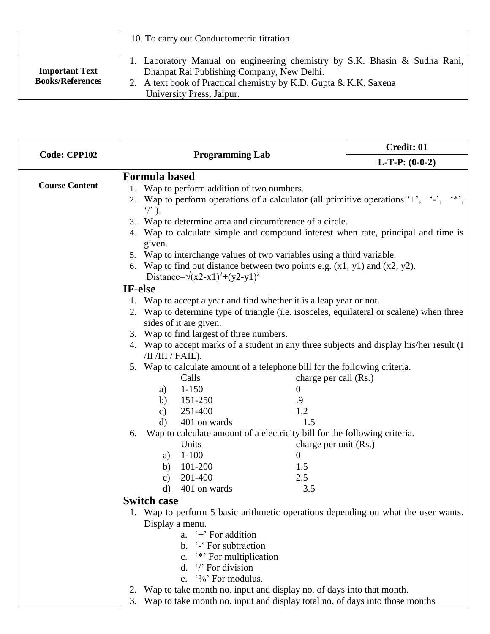|                                                  | 10. To carry out Conductometric titration.                                                                                                                                                                                 |
|--------------------------------------------------|----------------------------------------------------------------------------------------------------------------------------------------------------------------------------------------------------------------------------|
| <b>Important Text</b><br><b>Books/References</b> | 1. Laboratory Manual on engineering chemistry by S.K. Bhasin & Sudha Rani,<br>Dhanpat Rai Publishing Company, New Delhi.<br>2. A text book of Practical chemistry by K.D. Gupta & K.K. Saxena<br>University Press, Jaipur. |

| Code: CPP102          |                                                                                                                                                                                  |                                                                                                                           |                                                                           | Credit: 01                                                                        |  |  |  |
|-----------------------|----------------------------------------------------------------------------------------------------------------------------------------------------------------------------------|---------------------------------------------------------------------------------------------------------------------------|---------------------------------------------------------------------------|-----------------------------------------------------------------------------------|--|--|--|
|                       |                                                                                                                                                                                  | <b>Programming Lab</b>                                                                                                    | $L-T-P: (0-0-2)$                                                          |                                                                                   |  |  |  |
|                       | <b>Formula based</b>                                                                                                                                                             |                                                                                                                           |                                                                           |                                                                                   |  |  |  |
| <b>Course Content</b> | Wap to perform addition of two numbers.<br>1.                                                                                                                                    |                                                                                                                           |                                                                           |                                                                                   |  |  |  |
|                       | $\frac{1}{2}$ .                                                                                                                                                                  | 2. Wap to perform operations of a calculator (all primitive operations $'$ , $'$ , $'$ ,<br>$\leftrightarrow$             |                                                                           |                                                                                   |  |  |  |
|                       | Wap to determine area and circumference of a circle.<br>3.                                                                                                                       |                                                                                                                           |                                                                           |                                                                                   |  |  |  |
|                       |                                                                                                                                                                                  | 4. Wap to calculate simple and compound interest when rate, principal and time is                                         |                                                                           |                                                                                   |  |  |  |
|                       |                                                                                                                                                                                  | given.                                                                                                                    |                                                                           |                                                                                   |  |  |  |
|                       |                                                                                                                                                                                  | 5. Wap to interchange values of two variables using a third variable.                                                     |                                                                           |                                                                                   |  |  |  |
|                       |                                                                                                                                                                                  | 6. Wap to find out distance between two points e.g. $(x1, y1)$ and $(x2, y2)$ .<br>Distance= $\sqrt{(x2-x1)^2+(y2-y1)^2}$ |                                                                           |                                                                                   |  |  |  |
|                       | IF-else<br>1. Wap to accept a year and find whether it is a leap year or not.                                                                                                    |                                                                                                                           |                                                                           |                                                                                   |  |  |  |
|                       |                                                                                                                                                                                  |                                                                                                                           |                                                                           |                                                                                   |  |  |  |
|                       |                                                                                                                                                                                  | 2. Wap to determine type of triangle (i.e. isosceles, equilateral or scalene) when three                                  |                                                                           |                                                                                   |  |  |  |
|                       | sides of it are given.                                                                                                                                                           |                                                                                                                           |                                                                           |                                                                                   |  |  |  |
|                       | 3. Wap to find largest of three numbers.<br>4. Wap to accept marks of a student in any three subjects and display his/her result (I                                              |                                                                                                                           |                                                                           |                                                                                   |  |  |  |
|                       |                                                                                                                                                                                  |                                                                                                                           |                                                                           |                                                                                   |  |  |  |
|                       |                                                                                                                                                                                  | /II /III / FAIL).                                                                                                         |                                                                           |                                                                                   |  |  |  |
|                       | 5. Wap to calculate amount of a telephone bill for the following criteria.<br>Calls<br>charge per call (Rs.)                                                                     |                                                                                                                           |                                                                           |                                                                                   |  |  |  |
|                       |                                                                                                                                                                                  | $1-150$<br>a)                                                                                                             | $\overline{0}$                                                            |                                                                                   |  |  |  |
|                       |                                                                                                                                                                                  | 151-250<br>b)                                                                                                             | .9                                                                        |                                                                                   |  |  |  |
|                       |                                                                                                                                                                                  | 251-400<br>$\mathbf{c})$                                                                                                  | 1.2                                                                       |                                                                                   |  |  |  |
|                       |                                                                                                                                                                                  | 401 on wards<br>d)                                                                                                        | 1.5                                                                       |                                                                                   |  |  |  |
|                       | 6.                                                                                                                                                                               |                                                                                                                           | Wap to calculate amount of a electricity bill for the following criteria. |                                                                                   |  |  |  |
|                       |                                                                                                                                                                                  | Units                                                                                                                     | charge per unit (Rs.)                                                     |                                                                                   |  |  |  |
|                       |                                                                                                                                                                                  | $1 - 100$<br>a)                                                                                                           | $\overline{0}$                                                            |                                                                                   |  |  |  |
|                       |                                                                                                                                                                                  | b) $101-200$                                                                                                              | 1.5                                                                       |                                                                                   |  |  |  |
|                       |                                                                                                                                                                                  | 201-400<br>c)                                                                                                             | 2.5                                                                       |                                                                                   |  |  |  |
|                       |                                                                                                                                                                                  | 401 on wards<br>d)                                                                                                        | 3.5                                                                       |                                                                                   |  |  |  |
|                       |                                                                                                                                                                                  | <b>Switch case</b>                                                                                                        |                                                                           |                                                                                   |  |  |  |
|                       |                                                                                                                                                                                  |                                                                                                                           |                                                                           | 1. Wap to perform 5 basic arithmetic operations depending on what the user wants. |  |  |  |
|                       | Display a menu.                                                                                                                                                                  |                                                                                                                           |                                                                           |                                                                                   |  |  |  |
|                       |                                                                                                                                                                                  | a. $\leftrightarrow$ For addition<br>b. '-' For subtraction<br>"*** For multiplication<br>c.<br>d. '/' For division       |                                                                           |                                                                                   |  |  |  |
|                       |                                                                                                                                                                                  |                                                                                                                           |                                                                           |                                                                                   |  |  |  |
|                       |                                                                                                                                                                                  |                                                                                                                           |                                                                           |                                                                                   |  |  |  |
|                       | e. '%' For modulus.<br>2. Wap to take month no. input and display no. of days into that month.<br>3. Wap to take month no. input and display total no. of days into those months |                                                                                                                           |                                                                           |                                                                                   |  |  |  |
|                       |                                                                                                                                                                                  |                                                                                                                           |                                                                           |                                                                                   |  |  |  |
|                       |                                                                                                                                                                                  |                                                                                                                           |                                                                           |                                                                                   |  |  |  |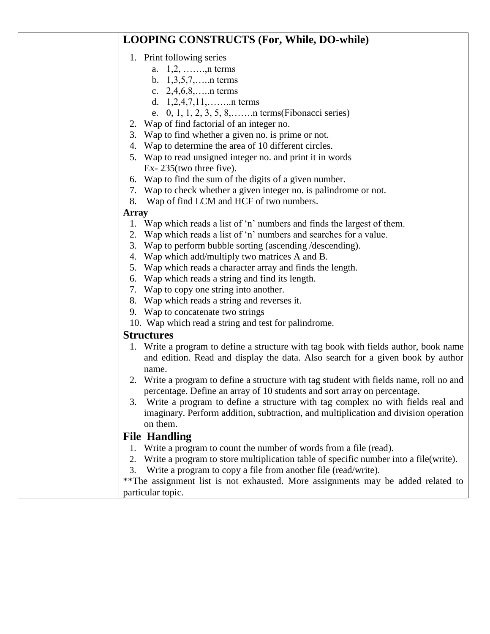### **LOOPING CONSTRUCTS (For, While, DO-while)**

### 1. Print following series

- a. 1,2, …….,n terms
- b. 1,3,5,7,…..n terms
- c. 2,4,6,8,…..n terms
- d. 1,2,4,7,11,……..n terms
- e. 0, 1, 1, 2, 3, 5, 8,…….n terms(Fibonacci series)
- 2. Wap of find factorial of an integer no.
- 3. Wap to find whether a given no. is prime or not.
- 4. Wap to determine the area of 10 different circles.
- 5. Wap to read unsigned integer no. and print it in words Ex- 235(two three five).
- 6. Wap to find the sum of the digits of a given number.
- 7. Wap to check whether a given integer no. is palindrome or not.
- 8. Wap of find LCM and HCF of two numbers.

#### **Array**

- 1. Wap which reads a list of 'n' numbers and finds the largest of them.
- 2. Wap which reads a list of 'n' numbers and searches for a value.
- 3. Wap to perform bubble sorting (ascending /descending).
- 4. Wap which add/multiply two matrices A and B.
- 5. Wap which reads a character array and finds the length.
- 6. Wap which reads a string and find its length.
- 7. Wap to copy one string into another.
- 8. Wap which reads a string and reverses it.
- 9. Wap to concatenate two strings
- 10. Wap which read a string and test for palindrome.

### **Structures**

- 1. Write a program to define a structure with tag book with fields author, book name and edition. Read and display the data. Also search for a given book by author name.
- 2. Write a program to define a structure with tag student with fields name, roll no and percentage. Define an array of 10 students and sort array on percentage.
- 3. Write a program to define a structure with tag complex no with fields real and imaginary. Perform addition, subtraction, and multiplication and division operation on them.

### **File Handling**

- 1. Write a program to count the number of words from a file (read).
- 2. Write a program to store multiplication table of specific number into a file(write).
- 3. Write a program to copy a file from another file (read/write).

\*\*The assignment list is not exhausted. More assignments may be added related to particular topic.